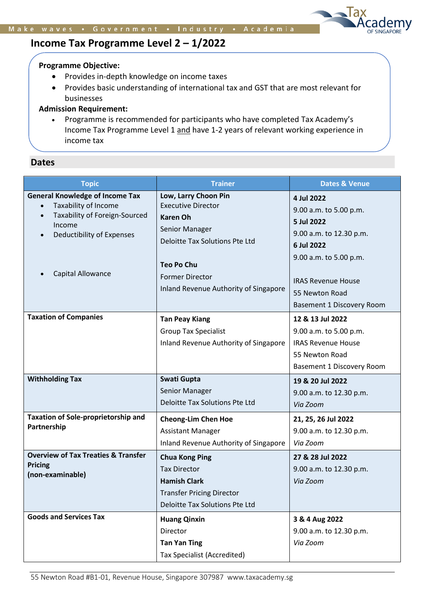# **Income Tax Programme Level 2 – 1/2022**

### **Programme Objective:**

- Provides in-depth knowledge on income taxes
- Provides basic understanding of international tax and GST that are most relevant for businesses

# **Admission Requirement:**

• Programme is recommended for participants who have completed Tax Academy's Income Tax Programme Level 1 and have 1-2 years of relevant working experience in income tax

# **Dates**

| <b>Topic</b>                                                                                                                                                             | <b>Trainer</b>                                                                                                                                                                                                   | <b>Dates &amp; Venue</b>                                                                                                                                                                          |  |
|--------------------------------------------------------------------------------------------------------------------------------------------------------------------------|------------------------------------------------------------------------------------------------------------------------------------------------------------------------------------------------------------------|---------------------------------------------------------------------------------------------------------------------------------------------------------------------------------------------------|--|
| <b>General Knowledge of Income Tax</b><br>Taxability of Income<br>Taxability of Foreign-Sourced<br>$\bullet$<br>Income<br>Deductibility of Expenses<br>Capital Allowance | Low, Larry Choon Pin<br><b>Executive Director</b><br><b>Karen Oh</b><br>Senior Manager<br>Deloitte Tax Solutions Pte Ltd<br><b>Teo Po Chu</b><br><b>Former Director</b><br>Inland Revenue Authority of Singapore | 4 Jul 2022<br>9.00 a.m. to 5.00 p.m.<br>5 Jul 2022<br>9.00 a.m. to 12.30 p.m.<br>6 Jul 2022<br>9.00 a.m. to 5.00 p.m.<br><b>IRAS Revenue House</b><br>55 Newton Road<br>Basement 1 Discovery Room |  |
| <b>Taxation of Companies</b>                                                                                                                                             | <b>Tan Peay Kiang</b><br><b>Group Tax Specialist</b><br>Inland Revenue Authority of Singapore                                                                                                                    | 12 & 13 Jul 2022<br>9.00 a.m. to 5.00 p.m.<br><b>IRAS Revenue House</b><br>55 Newton Road<br>Basement 1 Discovery Room                                                                            |  |
| <b>Withholding Tax</b>                                                                                                                                                   | Swati Gupta<br><b>Senior Manager</b><br>Deloitte Tax Solutions Pte Ltd                                                                                                                                           | 19 & 20 Jul 2022<br>9.00 a.m. to 12.30 p.m.<br>Via Zoom                                                                                                                                           |  |
| Taxation of Sole-proprietorship and<br>Partnership                                                                                                                       | <b>Cheong-Lim Chen Hoe</b><br><b>Assistant Manager</b><br>Inland Revenue Authority of Singapore                                                                                                                  | 21, 25, 26 Jul 2022<br>9.00 a.m. to 12.30 p.m.<br>Via Zoom                                                                                                                                        |  |
| <b>Overview of Tax Treaties &amp; Transfer</b><br><b>Pricing</b><br>(non-examinable)                                                                                     | <b>Chua Kong Ping</b><br><b>Tax Director</b><br><b>Hamish Clark</b><br><b>Transfer Pricing Director</b><br>Deloitte Tax Solutions Pte Ltd                                                                        | 27 & 28 Jul 2022<br>9.00 a.m. to 12.30 p.m.<br>Via Zoom                                                                                                                                           |  |
| <b>Goods and Services Tax</b>                                                                                                                                            | <b>Huang Qinxin</b><br>Director<br><b>Tan Yan Ting</b><br><b>Tax Specialist (Accredited)</b>                                                                                                                     | 3 & 4 Aug 2022<br>9.00 a.m. to 12.30 p.m.<br>Via Zoom                                                                                                                                             |  |